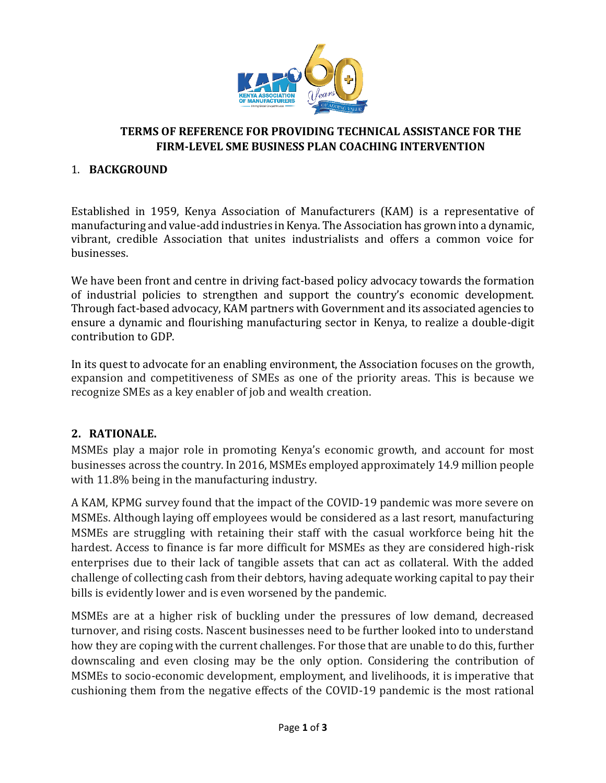

#### **TERMS OF REFERENCE FOR PROVIDING TECHNICAL ASSISTANCE FOR THE FIRM-LEVEL SME BUSINESS PLAN COACHING INTERVENTION**

#### 1. **BACKGROUND**

Established in 1959, Kenya Association of Manufacturers (KAM) is a representative of manufacturing and value-add industries in Kenya. The Association has grown into a dynamic, vibrant, credible Association that unites industrialists and offers a common voice for businesses.

We have been front and centre in driving fact-based policy advocacy towards the formation of industrial policies to strengthen and support the country's economic development. Through fact-based advocacy, KAM partners with Government and its associated agencies to ensure a dynamic and flourishing manufacturing sector in Kenya, to realize a double-digit contribution to GDP.

In its quest to advocate for an enabling environment, the Association focuses on the growth, expansion and competitiveness of SMEs as one of the priority areas. This is because we recognize SMEs as a key enabler of job and wealth creation.

### **2. RATIONALE.**

MSMEs play a major role in promoting Kenya's economic growth, and account for most businesses across the country. In 2016, MSMEs employed approximately 14.9 million people with 11.8% being in the manufacturing industry.

A KAM, KPMG survey found that the impact of the COVID-19 pandemic was more severe on MSMEs. Although laying off employees would be considered as a last resort, manufacturing MSMEs are struggling with retaining their staff with the casual workforce being hit the hardest. Access to finance is far more difficult for MSMEs as they are considered high-risk enterprises due to their lack of tangible assets that can act as collateral. With the added challenge of collecting cash from their debtors, having adequate working capital to pay their bills is evidently lower and is even worsened by the pandemic.

MSMEs are at a higher risk of buckling under the pressures of low demand, decreased turnover, and rising costs. Nascent businesses need to be further looked into to understand how they are coping with the current challenges. For those that are unable to do this, further downscaling and even closing may be the only option. Considering the contribution of MSMEs to socio-economic development, employment, and livelihoods, it is imperative that cushioning them from the negative effects of the COVID-19 pandemic is the most rational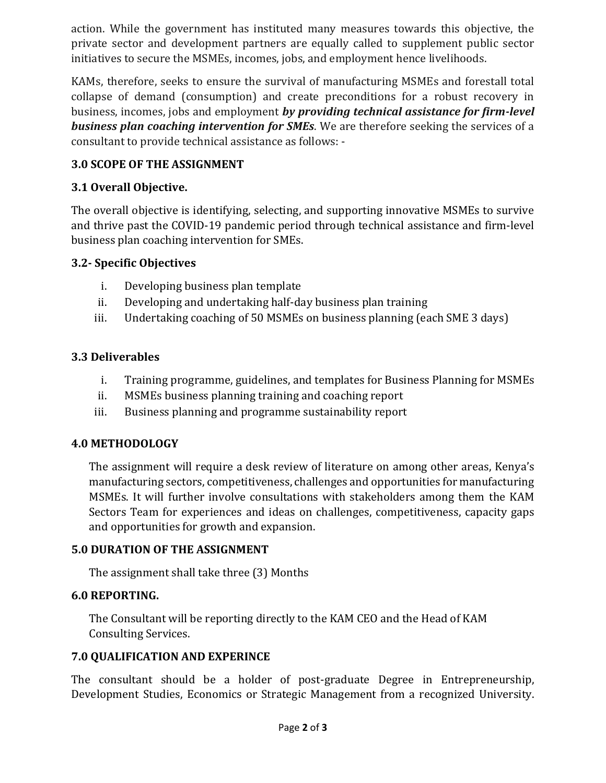action. While the government has instituted many measures towards this objective, the private sector and development partners are equally called to supplement public sector initiatives to secure the MSMEs, incomes, jobs, and employment hence livelihoods.

KAMs, therefore, seeks to ensure the survival of manufacturing MSMEs and forestall total collapse of demand (consumption) and create preconditions for a robust recovery in business, incomes, jobs and employment *by providing technical assistance for firm-level business plan coaching intervention for SMEs*. We are therefore seeking the services of a consultant to provide technical assistance as follows: -

## **3.0 SCOPE OF THE ASSIGNMENT**

## **3.1 Overall Objective.**

The overall objective is identifying, selecting, and supporting innovative MSMEs to survive and thrive past the COVID-19 pandemic period through technical assistance and firm-level business plan coaching intervention for SMEs.

### **3.2- Specific Objectives**

- i. Developing business plan template
- ii. Developing and undertaking half-day business plan training
- iii. Undertaking coaching of 50 MSMEs on business planning (each SME 3 days)

# **3.3 Deliverables**

- i. Training programme, guidelines, and templates for Business Planning for MSMEs
- ii. MSMEs business planning training and coaching report
- iii. Business planning and programme sustainability report

### **4.0 METHODOLOGY**

The assignment will require a desk review of literature on among other areas, Kenya's manufacturing sectors, competitiveness, challenges and opportunities for manufacturing MSMEs. It will further involve consultations with stakeholders among them the KAM Sectors Team for experiences and ideas on challenges, competitiveness, capacity gaps and opportunities for growth and expansion.

### **5.0 DURATION OF THE ASSIGNMENT**

The assignment shall take three (3) Months

### **6.0 REPORTING.**

The Consultant will be reporting directly to the KAM CEO and the Head of KAM Consulting Services.

### **7.0 QUALIFICATION AND EXPERINCE**

The consultant should be a holder of post-graduate Degree in Entrepreneurship, Development Studies, Economics or Strategic Management from a recognized University.